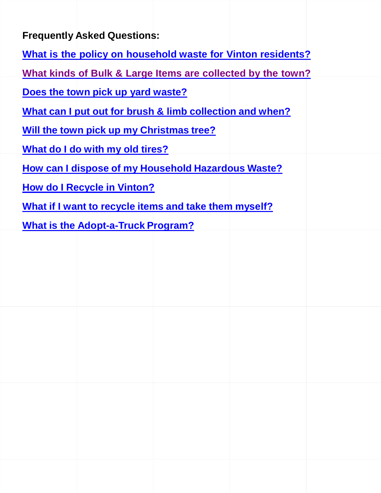<span id="page-0-0"></span>**Frequently Asked Questions:**

**What is the policy on [household](#page-1-0) waste for Vinton residents?**

**What kinds of Bulk & Large Items are [collected](#page-1-1) by the town?**

**Does the town pick up yard [waste?](#page-2-0)**

**What can I put out for brush & limb [collection](#page-2-1) and when?**

**Will the town pick up my [Christmas](#page-3-0) tree?**

**What do I do with my old [tires?](#page-3-1)**

**How can I dispose of my [Household](#page-3-2) Hazardous Waste?**

**How do I [Recycle in](#page-3-3) Vinton?**

**What if I want to recycle items and take them [myself?](#page-4-0)**

**What is the [Adopt-a-Truck](#page-4-1) Program?**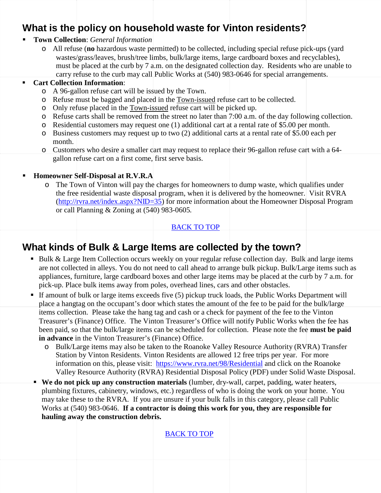## <span id="page-1-0"></span>**What is the policy on household waste for Vinton residents?**

#### **Town Collection**: *General Information*

o All refuse (**no** hazardous waste permitted) to be collected, including special refuse pick-ups (yard wastes/grass/leaves, brush/tree limbs, bulk/large items, large cardboard boxes and recyclables), must be placed at the curb by 7 a.m. on the designated collection day. Residents who are unable to carry refuse to the curb may call Public Works at (540) 983-0646 for special arrangements.

#### **Cart Collection Information**:

- o A 96-gallon refuse cart will be issued by the Town.
- o Refuse must be bagged and placed in the Town-issued refuse cart to be collected.
- o Only refuse placed in the Town-issued refuse cart will be picked up.
- o Refuse carts shall be removed from the street no later than 7:00 a.m. of the day following collection.
- o Residential customers may request one (1) additional cart at a rental rate of \$5.00 per month.
- o Business customers may request up to two (2) additional carts at a rental rate of \$5.00 each per month.
- o Customers who desire a smaller cart may request to replace their 96-gallon refuse cart with a 64 gallon refuse cart on a first come, first serve basis.

### **Homeowner Self-Disposal at R.V.R.A**

o The Town of Vinton will pay the charges for homeowners to dump waste, which qualifies under the free residential waste disposal program, when it is delivered by the homeowner. Visit RVRA [\(http://rvra.net/index.aspx?NID=35\)](http://rvra.net/index.aspx?NID=35) for more information about the Homeowner Disposal Program or call Planning & Zoning at (540) 983-0605*.*

### <span id="page-1-1"></span>[BACK TO](#page-0-0) TOP

# **What kinds of Bulk & Large Items are collected by the town?**

- Bulk & Large Item Collection occurs weekly on your regular refuse collection day. Bulk and large items are not collected in alleys. You do not need to call ahead to arrange bulk pickup. Bulk/Large items such as appliances, furniture, large cardboard boxes and other large items may be placed at the curb by 7 a.m. for pick-up. Place bulk items away from poles, overhead lines, cars and other obstacles.
- If amount of bulk or large items exceeds five  $(5)$  pickup truck loads, the Public Works Department will place a hangtag on the occupant's door which states the amount of the fee to be paid for the bulk/large items collection. Please take the hang tag and cash or a check for payment of the fee to the Vinton Treasurer's (Finance) Office. The Vinton Treasurer's Office will notify Public Works when the fee has been paid, so that the bulk/large items can be scheduled for collection. Please note the fee **must be paid in advance** in the Vinton Treasurer's (Finance) Office.
	- o Bulk/Large items may also be taken to the Roanoke Valley Resource Authority (RVRA) Transfer Station by Vinton Residents. Vinton Residents are allowed 12 free trips per year. For more information on this, please visit: <https://www.rvra.net/98/Residential> and click on the [Roanoke](https://www.rvra.net/DocumentCenter/View/4)  [Valley Resource Authority \(RVRA\) Residential Disposal Policy \(PDF\)](https://www.rvra.net/DocumentCenter/View/4) under Solid Waste Disposal.
- **We do not pick up any construction materials** (lumber, dry-wall, carpet, padding, water heaters, plumbing fixtures, cabinetry, windows, etc.) regardless of who is doing the work on your home. You may take these to the RVRA*.* If you are unsure if your bulk falls in this category, please call Public Works at (540) 983-0646. **If a contractor is doing this work for you, they are responsible for hauling away the construction debris.**

[BACK TO](#page-0-0) TOP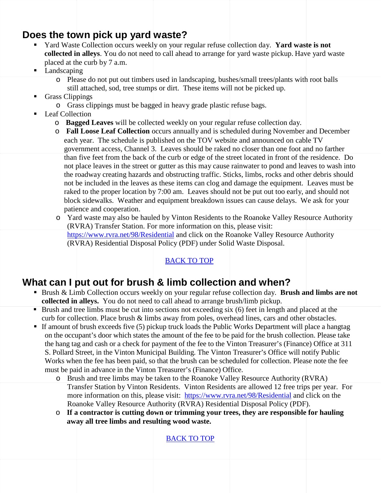## <span id="page-2-0"></span>**Does the town pick up yard waste?**

- Yard Waste Collection occurs weekly on your regular refuse collection day. **Yard waste is not collected in alleys**. You do not need to call ahead to arrange for yard waste pickup. Have yard waste placed at the curb by 7 a.m.
- Landscaping
	- o Please do not put out timbers used in landscaping, bushes/small trees/plants with root balls still attached, sod, tree stumps or dirt. These items will not be picked up.
- Grass Clippings
	- o Grass clippings must be bagged in heavy grade plastic refuse bags.
- Leaf Collection
	- o **Bagged Leaves** will be collected weekly on your regular refuse collection day.
	- o **Fall Loose Leaf Collection** occurs annually and is scheduled during November and December each year. The schedule is published on the TOV website and announced on cable TV government access, Channel 3. Leaves should be raked no closer than one foot and no farther than five feet from the back of the curb or edge of the street located in front of the residence. Do not place leaves in the street or gutter as this may cause rainwater to pond and leaves to wash into the roadway creating hazards and obstructing traffic. Sticks, limbs, rocks and other debris should not be included in the leaves as these items can clog and damage the equipment. Leaves must be raked to the proper location by 7:00 am. Leaves should not be put out too early, and should not block sidewalks. Weather and equipment breakdown issues can cause delays. We ask for your patience and cooperation.
	- o Yard waste may also be hauled by Vinton Residents to the Roanoke Valley Resource Authority (RVRA) Transfer Station. For more information on this, please visit: <https://www.rvra.net/98/Residential> and click on the [Roanoke Valley Resource Authority](https://www.rvra.net/DocumentCenter/View/4)  [\(RVRA\) Residential Disposal Policy \(PDF\)](https://www.rvra.net/DocumentCenter/View/4) under Solid Waste Disposal.

### [BACK TO](#page-0-0) TOP

### <span id="page-2-1"></span>**What can I put out for brush & limb collection and when?**

- Brush & Limb Collection occurs weekly on your regular refuse collection day. **Brush and limbs are not collected in alleys.** You do not need to call ahead to arrange brush/limb pickup.
- Brush and tree limbs must be cut into sections not exceeding six (6) feet in length and placed at the curb for collection. Place brush & limbs away from poles, overhead lines, cars and other obstacles.
- If amount of brush exceeds five (5) pickup truck loads the Public Works Department will place a hangtag on the occupant's door which states the amount of the fee to be paid for the brush collection. Please take the hang tag and cash or a check for payment of the fee to the Vinton Treasurer's (Finance) Office at 311 S. Pollard Street, in the Vinton Municipal Building. The Vinton Treasurer's Office will notify Public Works when the fee has been paid, so that the brush can be scheduled for collection. Please note the fee must be paid in advance in the Vinton Treasurer's (Finance) Office.
	- o Brush and tree limbs may be taken to the Roanoke Valley Resource Authority (RVRA) Transfer Station by Vinton Residents. Vinton Residents are allowed 12 free trips per year. For more information on this, please visit: <https://www.rvra.net/98/Residential> and click on the [Roanoke Valley Resource Authority \(RVRA\) Residential Disposal Policy \(PDF\).](https://www.rvra.net/DocumentCenter/View/4)
	- o **If a contractor is cutting down or trimming your trees, they are responsible for hauling away all tree limbs and resulting wood waste.**

[BACK TO](#page-0-0) TOP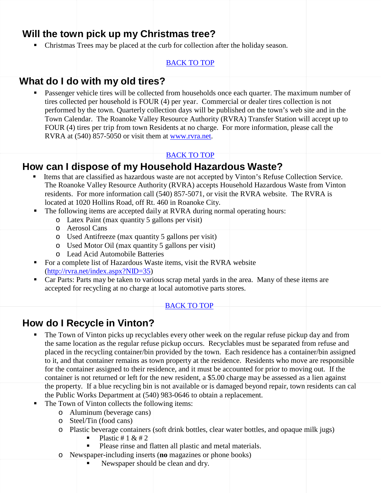## <span id="page-3-0"></span>**Will the town pick up my Christmas tree?**

• Christmas Trees may be placed at the curb for collection after the holiday season.

### [BACK TO](#page-0-0) TOP

### <span id="page-3-1"></span>**What do I do with my old tires?**

 Passenger vehicle tires will be collected from households once each quarter. The maximum number of tires collected per household is FOUR (4) per year. Commercial or dealer tires collection is not performed by the town. Quarterly collection days will be published on the town's web site and in the Town Calendar. The Roanoke Valley Resource Authority (RVRA) Transfer Station will accept up to FOUR (4) tires per trip from town Residents at no charge. For more information, please call the RVRA at (540) 857-5050 or visit them at [www.rvra.net.](http://www.rvra.net/)

#### [BACK TO](#page-0-0) TOP

# <span id="page-3-2"></span>**How can I dispose of my Household Hazardous Waste?**

- Items that are classified as hazardous waste are not accepted by Vinton's Refuse Collection Service. The Roanoke Valley Resource Authority (RVRA) accepts Household Hazardous Waste from Vinton residents. For more information call (540) 857-5071, or visit [the RVRA website](http://rvra.net/HHW.htm). The RVRA is located at 1020 Hollins Road, off Rt. 460 in Roanoke City.
- The following items are accepted daily at RVRA during normal operating hours:
	- o Latex Paint (max quantity 5 gallons per visit)
	- o Aerosol Cans
	- o Used Antifreeze (max quantity 5 gallons per visit)
	- o Used Motor Oil (max quantity 5 gallons per visit)
	- o Lead Acid Automobile Batteries
- For a complete list of Hazardous Waste items, visit the RVRA website [\(http://rvra.net/index.aspx?NID=35\)](http://rvra.net/index.aspx?NID=35)
- Car Parts: Parts may be taken to various scrap metal yards in the area. Many of these items are accepted for recycling at no charge at local automotive parts stores.

### [BACK TO](#page-0-0) TOP

## <span id="page-3-3"></span>**How do I Recycle in Vinton?**

- The Town of Vinton picks up recyclables every other week on the regular refuse pickup day and from the same location as the regular refuse pickup occurs. Recyclables must be separated from refuse and placed in the recycling container/bin provided by the town. Each residence has a container/bin assigned to it, and that container remains as town property at the residence. Residents who move are responsible for the container assigned to their residence, and it must be accounted for prior to moving out. If the container is not returned or left for the new resident, a \$5.00 charge may be assessed as a lien against the property. If a blue recycling bin is not available or is damaged beyond repair, town residents can cal the Public Works Department at (540) 983-0646 to obtain a replacement.
- The Town of Vinton collects the following items:
	- o Aluminum (beverage cans)
	- o Steel/Tin (food cans)
	- o Plastic beverage containers (soft drink bottles, clear water bottles, and opaque milk jugs)<br>Plastic #  $1 \& # 2$ 
		- Plastic  $# 1 & 2$
		- Please rinse and flatten all plastic and metal materials.
	- o Newspaper-including inserts (**no** magazines or phone books)
		- Newspaper should be clean and dry.